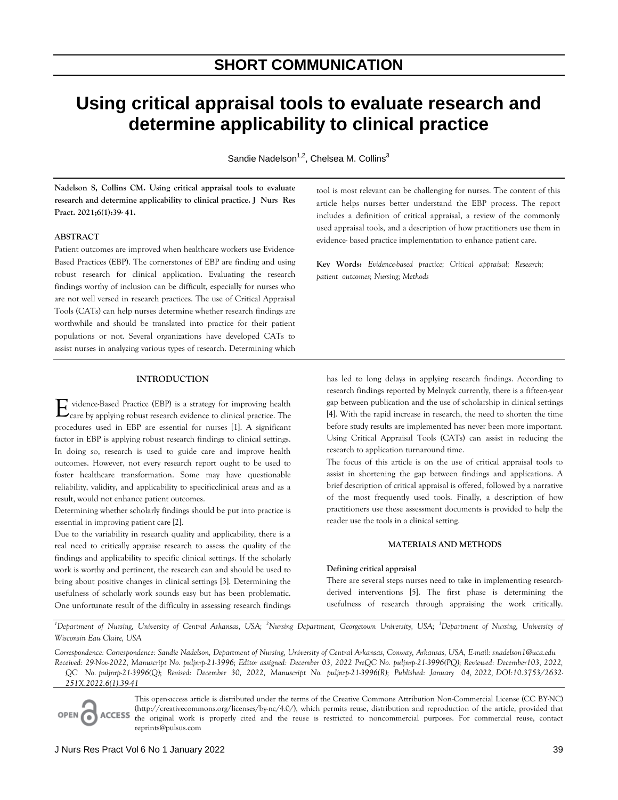# **Using critical appraisal tools to evaluate research and determine applicability to clinical practice**

Sandie Nadelson $^{1,2}$ , Chelsea M. Collins $^3$ 

**Nadelson S, Collins CM. Using critical appraisal tools to evaluate research and determine applicability to clinical practice. J Nurs Res Pract. 2021;6(1):39- 41.**

## **ABSTRACT**

Patient outcomes are improved when healthcare workers use Evidence-Based Practices (EBP). The cornerstones of EBP are finding and using robust research for clinical application. Evaluating the research findings worthy of inclusion can be difficult, especially for nurses who are not well versed in research practices. The use of Critical Appraisal Tools (CATs) can help nurses determine whether research findings are worthwhile and should be translated into practice for their patient populations or not. Several organizations have developed CATs to assist nurses in analyzing various types of research. Determining which

# **INTRODUCTION**

 vidence-Based Practice (EBP) is a strategy for improving health  $E_{\text{care}}$  by applying robust research evidence to clinical practice. The procedures used in EBP are essential for nurses [1]. A significant factor in EBP is applying robust research findings to clinical settings. In doing so, research is used to guide care and improve health outcomes. However, not every research report ought to be used to foster healthcare transformation. Some may have questionable reliability, validity, and applicability to specificclinical areas and as a result, would not enhance patient outcomes.

Determining whether scholarly findings should be put into practice is essential in improving patient care [2].

Due to the variability in research quality and applicability, there is a real need to critically appraise research to assess the quality of the findings and applicability to specific clinical settings. If the scholarly work is worthy and pertinent, the research can and should be used to bring about positive changes in clinical settings [3]. Determining the usefulness of scholarly work sounds easy but has been problematic. One unfortunate result of the difficulty in assessing research findings

tool is most relevant can be challenging for nurses. The content of this article helps nurses better understand the EBP process. The report includes a definition of critical appraisal, a review of the commonly used appraisal tools, and a description of how practitioners use them in evidence- based practice implementation to enhance patient care.

**Key Words:** *Evidence-based practice; Critical appraisal; Research; patient outcomes; Nursing; Methods* 

has led to long delays in applying research findings. According to research findings reported by Melnyck currently, there is a fifteen-year gap between publication and the use of scholarship in clinical settings [4]. With the rapid increase in research, the need to shorten the time before study results are implemented has never been more important. Using Critical Appraisal Tools (CATs) can assist in reducing the research to application turnaround time.

The focus of this article is on the use of critical appraisal tools to assist in shortening the gap between findings and applications. A brief description of critical appraisal is offered, followed by a narrative of the most frequently used tools. Finally, a description of how practitioners use these assessment documents is provided to help the reader use the tools in a clinical setting.

# **MATERIALS AND METHODS**

# **Defining critical appraisal**

There are several steps nurses need to take in implementing researchderived interventions [5]. The first phase is determining the usefulness of research through appraising the work critically.

*<sup>1</sup>Department of Nursing, University of Central Arkansas, USA; <sup>2</sup>Nursing Department, Georgetown University, USA; <sup>3</sup>Department of Nursing, University of Wisconsin Eau Claire, USA* 

*Correspondence: Correspondence: Sandie Nadelson, Department of Nursing, University of Central Arkansas, Conway, Arkansas, USA, E-mail: snadelson1@uca.edu Received: 29-Nov-2022, Manuscript No. puljnrp-21-3996; Editor assigned: December 03, 2022 PreQC No. puljnrp-21-3996(PQ); Reviewed: December103, 2022, QC No. puljnrp-21-3996(Q); Revised: December 30, 2022, Manuscript No. puljnrp-21-3996(R); Published: January 04, 2022, DOI:10.3753/2632- 251X.2022.6(1).39-41*



This open-access article is distributed under the terms of the Creative Commons Attribution Non-Commercial License (CC BY-NC) (http://creativecommons.org/licenses/by-nc/4.0/), which permits reuse, distribution and reproduction of the article, provided that the original work is properly cited and the reuse is restricted to noncommercial purposes. For commercial reuse, contact reprints@pulsus.com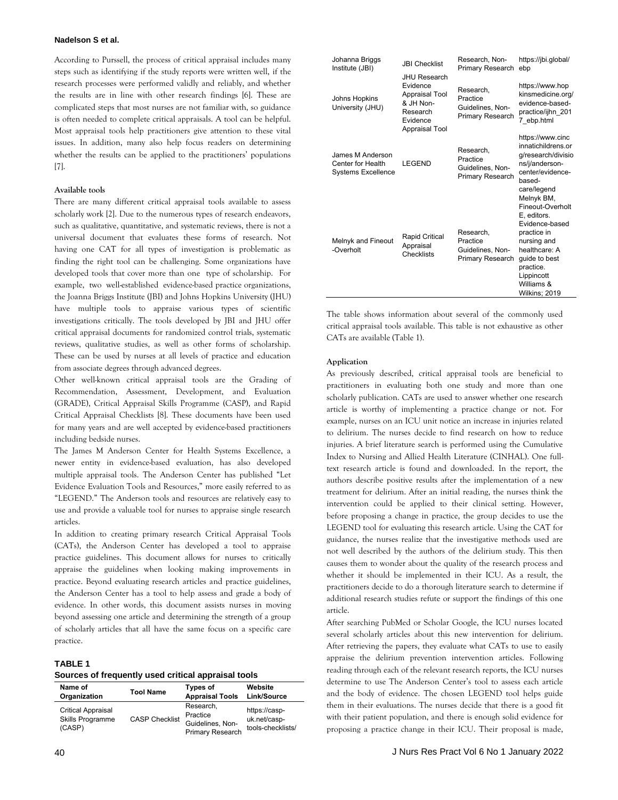#### **Nadelson S et al.**

According to Purssell, the process of critical appraisal includes many steps such as identifying if the study reports were written well, if the research processes were performed validly and reliably, and whether the results are in line with other research findings [6]. These are complicated steps that most nurses are not familiar with, so guidance is often needed to complete critical appraisals. A tool can be helpful. Most appraisal tools help practitioners give attention to these vital issues. In addition, many also help focus readers on determining whether the results can be applied to the practitioners' populations [7].

### **Available tools**

There are many different critical appraisal tools available to assess scholarly work [2]. Due to the numerous types of research endeavors, such as qualitative, quantitative, and systematic reviews, there is not a universal document that evaluates these forms of research. Not having one CAT for all types of investigation is problematic as finding the right tool can be challenging. Some organizations have developed tools that cover more than one type of scholarship. For example, two well-established evidence-based practice organizations, the Joanna Briggs Institute (JBI) and Johns Hopkins University (JHU) have multiple tools to appraise various types of scientific investigations critically. The tools developed by JBI and JHU offer critical appraisal documents for randomized control trials, systematic reviews, qualitative studies, as well as other forms of scholarship. These can be used by nurses at all levels of practice and education from associate degrees through advanced degrees.

Other well-known critical appraisal tools are the Grading of Recommendation, Assessment, Development, and Evaluation (GRADE), Critical Appraisal Skills Programme (CASP), and Rapid Critical Appraisal Checklists [8]. These documents have been used for many years and are well accepted by evidence-based practitioners including bedside nurses.

The James M Anderson Center for Health Systems Excellence, a newer entity in evidence-based evaluation, has also developed multiple appraisal tools. The Anderson Center has published "Let Evidence Evaluation Tools and Resources," more easily referred to as "LEGEND." The Anderson tools and resources are relatively easy to use and provide a valuable tool for nurses to appraise single research articles.

In addition to creating primary research Critical Appraisal Tools (CATs), the Anderson Center has developed a tool to appraise practice guidelines. This document allows for nurses to critically appraise the guidelines when looking making improvements in practice. Beyond evaluating research articles and practice guidelines, the Anderson Center has a tool to help assess and grade a body of evidence. In other words, this document assists nurses in moving beyond assessing one article and determining the strength of a group of scholarly articles that all have the same focus on a specific care practice.

## **TABLE 1**

### **Sources of frequently used critical appraisal tools**

| Name of                                                        | <b>Tool Name</b>      | <b>Types of</b>                                                      | Website                                            |
|----------------------------------------------------------------|-----------------------|----------------------------------------------------------------------|----------------------------------------------------|
| Organization                                                   |                       | <b>Appraisal Tools</b>                                               | Link/Source                                        |
| <b>Critical Appraisal</b><br><b>Skills Programme</b><br>(CASP) | <b>CASP Checklist</b> | Research.<br>Practice<br>Guidelines, Non-<br><b>Primary Research</b> | https://casp-<br>uk.net/casp-<br>tools-checklists/ |

| Johanna Briggs<br>Institute (JBI)                                  | <b>JBI Checklist</b>                                                                                            | Research, Non-<br>Primary Research                            | https://jbi.global/<br>ebp                                                                                                                                                                |
|--------------------------------------------------------------------|-----------------------------------------------------------------------------------------------------------------|---------------------------------------------------------------|-------------------------------------------------------------------------------------------------------------------------------------------------------------------------------------------|
| Johns Hopkins<br>University (JHU)                                  | <b>JHU Research</b><br>Evidence<br>Appraisal Tool<br>& JH Non-<br>Research<br><b>Fvidence</b><br>Appraisal Tool | Research.<br>Practice<br>Guidelines, Non-<br>Primary Research | https://www.hop<br>kinsmedicine.org/<br>evidence-based-<br>practice/ijhn 201<br>7 ebp.html                                                                                                |
| James M Anderson<br>Center for Health<br><b>Systems Excellence</b> | LEGEND                                                                                                          | Research.<br>Practice<br>Guidelines, Non-<br>Primary Research | https://www.cinc<br>innatichildrens.or<br>g/research/divisio<br>ns/j/anderson-<br>center/evidence-<br>hased-<br>care/legend                                                               |
| Melnyk and Fineout<br>-Overholt                                    | <b>Rapid Critical</b><br>Appraisal<br>Checklists                                                                | Research.<br>Practice<br>Guidelines, Non-<br>Primary Research | Melnyk BM,<br>Fineout-Overholt<br>E, editors.<br>Fvidence-based<br>practice in<br>nursing and<br>healthcare: A<br>quide to best<br>practice.<br>Lippincott<br>Williams &<br>Wilkins; 2019 |

The table shows information about several of the commonly used critical appraisal tools available. This table is not exhaustive as other CATs are available (Table 1).

#### **Application**

As previously described, critical appraisal tools are beneficial to practitioners in evaluating both one study and more than one scholarly publication. CATs are used to answer whether one research article is worthy of implementing a practice change or not. For example, nurses on an ICU unit notice an increase in injuries related to delirium. The nurses decide to find research on how to reduce injuries. A brief literature search is performed using the Cumulative Index to Nursing and Allied Health Literature (CINHAL). One fulltext research article is found and downloaded. In the report, the authors describe positive results after the implementation of a new treatment for delirium. After an initial reading, the nurses think the intervention could be applied to their clinical setting. However, before proposing a change in practice, the group decides to use the LEGEND tool for evaluating this research article. Using the CAT for guidance, the nurses realize that the investigative methods used are not well described by the authors of the delirium study. This then causes them to wonder about the quality of the research process and whether it should be implemented in their ICU. As a result, the practitioners decide to do a thorough literature search to determine if additional research studies refute or support the findings of this one article.

After searching PubMed or Scholar Google, the ICU nurses located several scholarly articles about this new intervention for delirium. After retrieving the papers, they evaluate what CATs to use to easily appraise the delirium prevention intervention articles. Following reading through each of the relevant research reports, the ICU nurses determine to use The Anderson Center's tool to assess each article and the body of evidence. The chosen LEGEND tool helps guide them in their evaluations. The nurses decide that there is a good fit with their patient population, and there is enough solid evidence for proposing a practice change in their ICU. Their proposal is made,